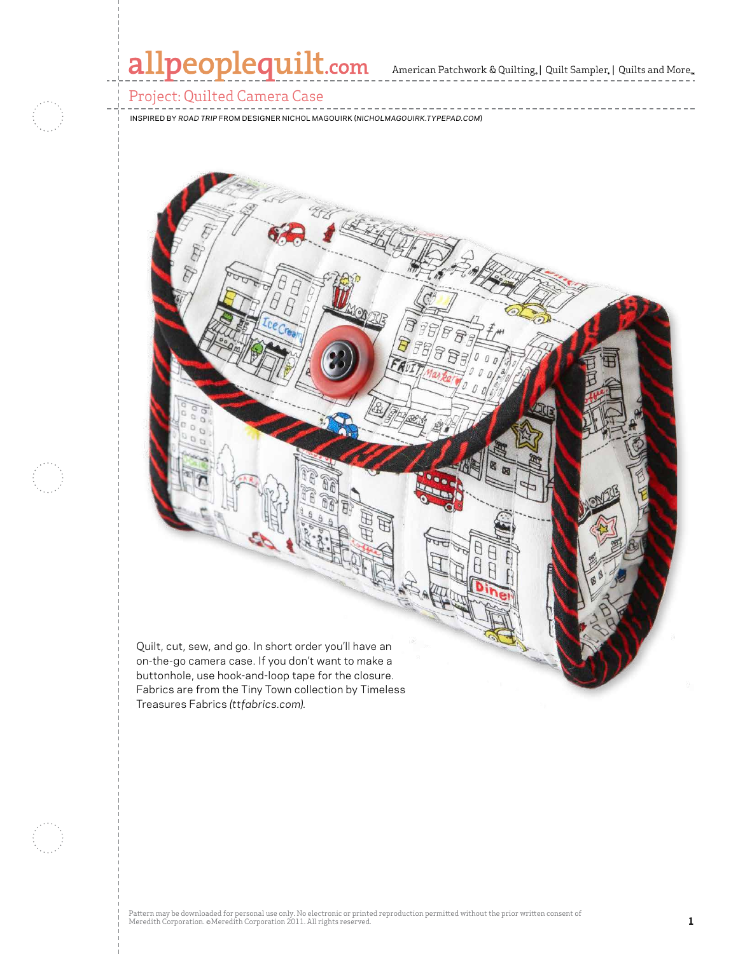## allpeoplequilt.com American Patchwork & Quilting, | Quilt Sampler, | Quilts and More..

Project: Quilted Camera Case

INSPIRED BY *ROAD TRIP* FROM DESIGNER NICHOL MAGOUIRK (*NICHOLMAGOUIRK.TYPEPAD.COM*)

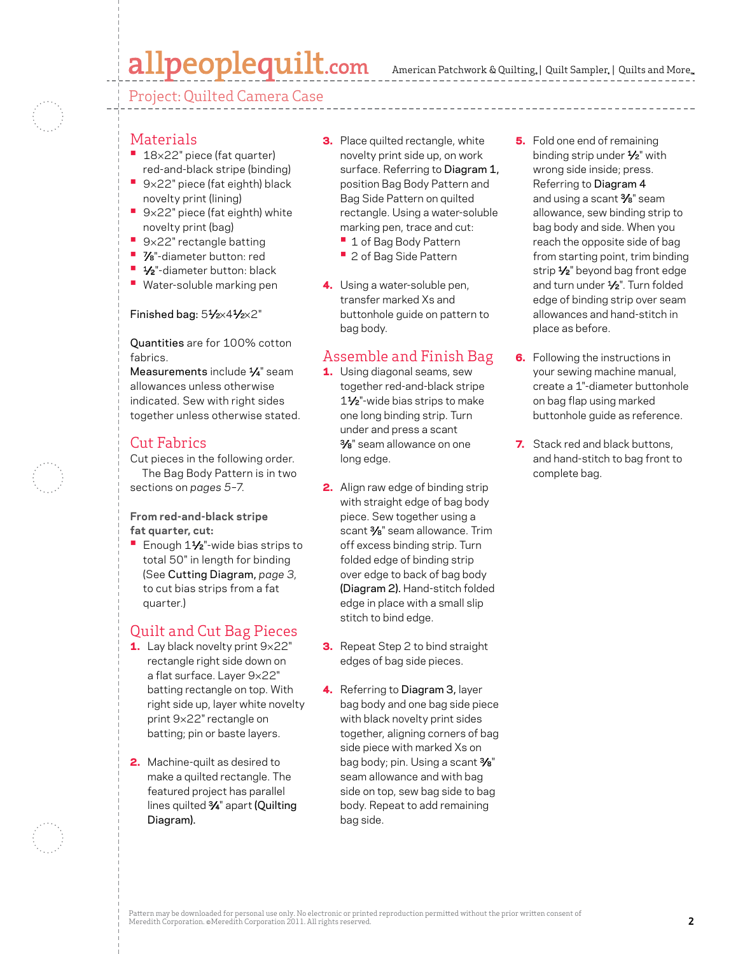## allpeoplequilt.com

American Patchwork & Quilting,  $|$  Quilt Sampler,  $|$  Quilts and More,

Project: Quilted Camera Case

- Materials **•** <sup>18</sup>×22" piece (fat quarter) red-and-black stripe (binding)
- **•** <sup>9</sup>×22" piece (fat eighth) black novelty print (lining)
- **•** <sup>9</sup>×22" piece (fat eighth) white novelty print (bag)
- **•** <sup>9</sup>×22" rectangle batting
- **•** 7⁄8"-diameter button: red
- **•** 1/<sub>2</sub>"-diameter button: black
- **•** Water-soluble marking pen

#### Finished bag: 51/2×41/2×2"

Quantities are for 100% cotton fabrics.

Measurements include  $\frac{1}{4}$ " seam allowances unless otherwise indicated. Sew with right sides together unless otherwise stated.

### Cut Fabrics

Cut pieces in the following order. The Bag Body Pattern is in two sections on *pages 5–7*.

**From red-and-black stripe fat quarter, cut:**

■ Enough 1<sup>1</sup>/<sub>2</sub>"-wide bias strips to total 50" in length for binding (See Cutting Diagram, *page 3,* to cut bias strips from a fat quarter.)

### Quilt and Cut Bag Pieces

- 1. Lay black novelty print 9×22" rectangle right side down on a flat surface. Layer 9×22" batting rectangle on top. With right side up, layer white novelty print 9×22" rectangle on batting; pin or baste layers.
- 2. Machine-quilt as desired to make a quilted rectangle. The featured project has parallel lines quilted 3⁄4" apart (Quilting Diagram).
- **3.** Place quilted rectangle, white novelty print side up, on work surface. Referring to Diagram 1, position Bag Body Pattern and Bag Side Pattern on quilted rectangle. Using a water-soluble marking pen, trace and cut:
	- **•** 1 of Bag Body Pattern
	- **•** 2 of Bag Side Pattern
- 4. Using a water-soluble pen, transfer marked Xs and buttonhole guide on pattern to bag body.

### Assemble and Finish Bag

- 1. Using diagonal seams, sew together red-and-black stripe 11⁄2"-wide bias strips to make one long binding strip. Turn under and press a scant 3⁄8" seam allowance on one long edge.
- 2. Align raw edge of binding strip with straight edge of bag body piece. Sew together using a scant  $\frac{3}{8}$ " seam allowance. Trim off excess binding strip. Turn folded edge of binding strip over edge to back of bag body (Diagram 2). Hand-stitch folded edge in place with a small slip stitch to bind edge.
- **3.** Repeat Step 2 to bind straight edges of bag side pieces.
- 4. Referring to Diagram 3, layer bag body and one bag side piece with black novelty print sides together, aligning corners of bag side piece with marked Xs on bag body; pin. Using a scant  $\frac{3}{8}$ " seam allowance and with bag side on top, sew bag side to bag body. Repeat to add remaining bag side.
- **5.** Fold one end of remaining binding strip under  $\frac{1}{2}$ " with wrong side inside; press. Referring to Diagram 4 and using a scant  $\frac{3}{8}$ " seam allowance, sew binding strip to bag body and side. When you reach the opposite side of bag from starting point, trim binding strip 1/<sub>2</sub>" beyond bag front edge and turn under 1⁄2". Turn folded edge of binding strip over seam allowances and hand-stitch in place as before.
- **6.** Following the instructions in your sewing machine manual, create a 1"-diameter buttonhole on bag flap using marked buttonhole guide as reference.
- 7. Stack red and black buttons, and hand-stitch to bag front to complete bag.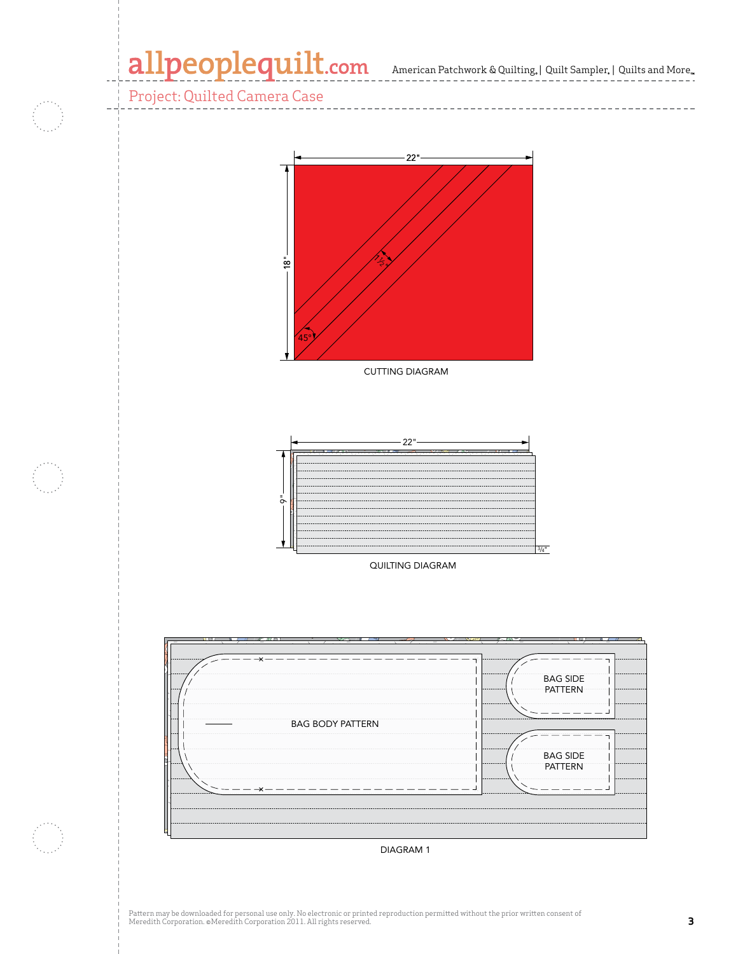### allpeoplequilt.com American Patchwork & Quilting, | Quilt Sampler, | Quilts and More...

Project: Quilted Camera Case



CUTTING DIAGRAM



QUILTING DIAGRAM



DIAGRAM 1

Pattern may be downloaded for personal use only. No electronic or printed reproduction permitted without the prior written consent of Meredith Corporation. ©Meredith Corporation 2011. All rights reserved. **3**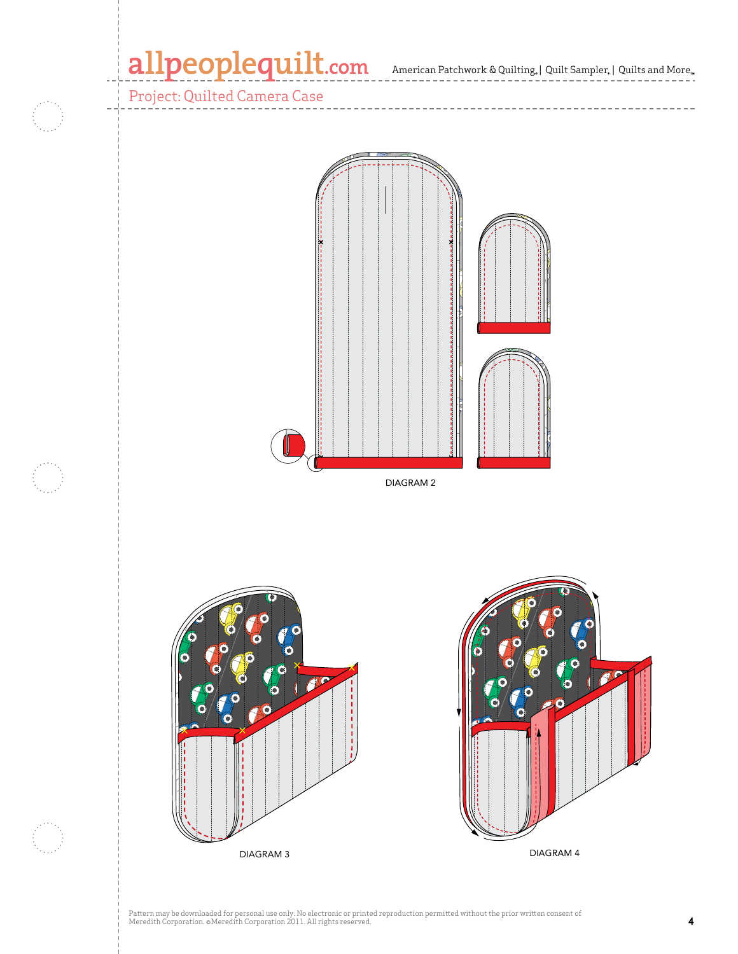## allpeoplequilt.com American Patchwork & Quilting, | Quilt Sampler, | Quilts and More..

Project: Quilted Camera Case





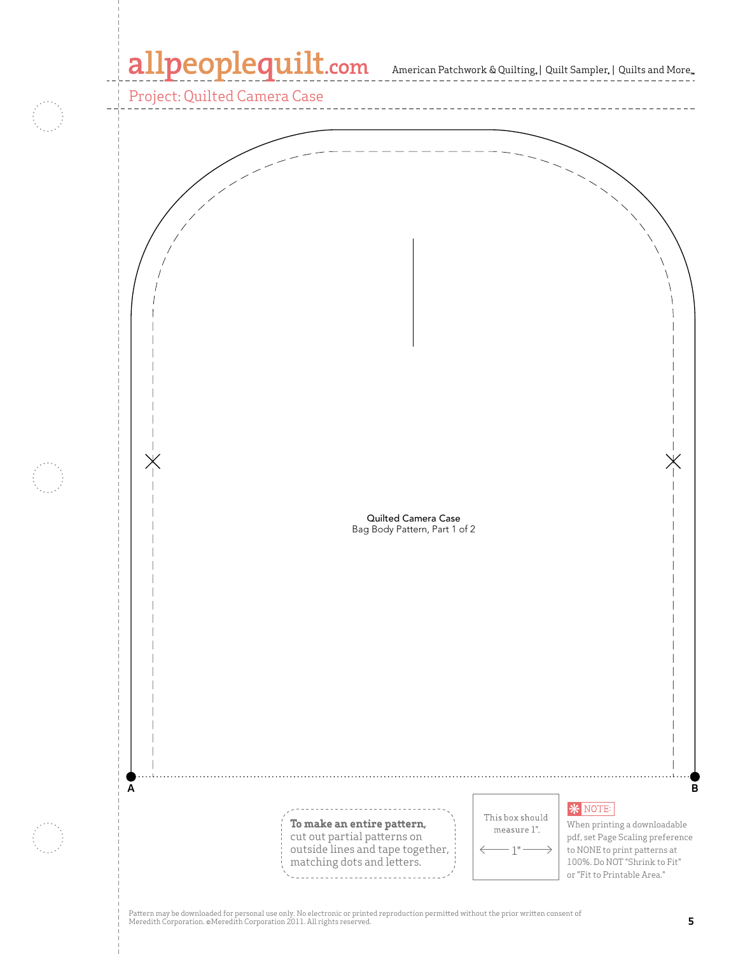### allpeoplequilt.com

American Patchwork & Quilting,  $|$  Quilt Sampler,  $|$  Quilts and More,



Pattern may be downloaded for personal use only. No electronic or printed reproduction permitted without the prior written consent of Meredith Corporation. ©Meredith Corporation 2011. All rights reserved. **5**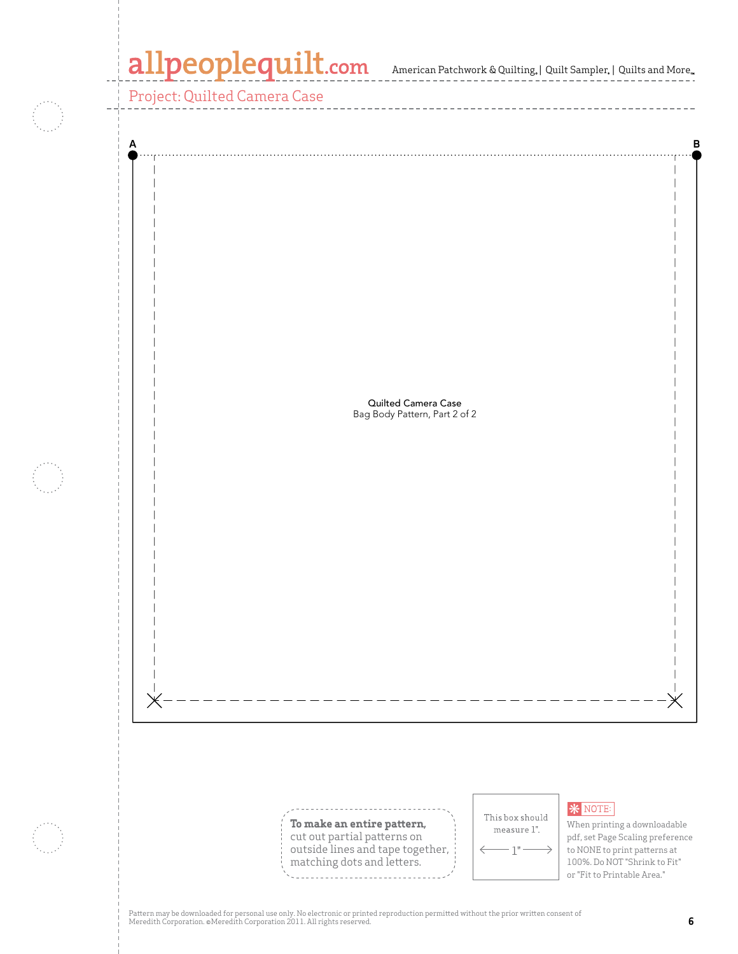# allpeoplequilt.com

American Patchwork & Quilting,  $|$  Quilt Sampler,  $|$  Quilts and More...



Pattern may be downloaded for personal use only. No electronic or printed reproduction permitted without the prior written consent of Meredith Corporation. ©Meredith Corporation 2011. All rights reserved. **6**<br>Meredith Corporation. ©Meredith Corporation 2011. All rights reserved.